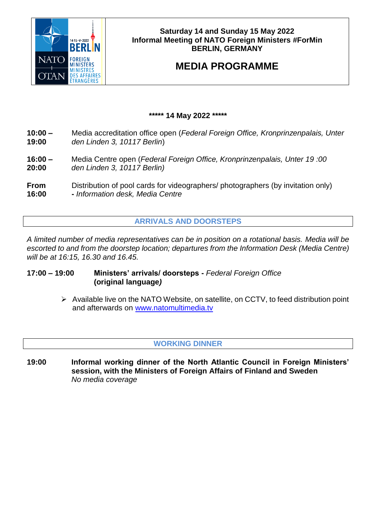

# **Saturday 14 and Sunday 15 May 2022 Informal Meeting of NATO Foreign Ministers #ForMin BERLIN, GERMANY**

# **MEDIA PROGRAMME**

# **\*\*\*\*\* 14 May 2022 \*\*\*\*\***

- **10:00 –** Media accreditation office open (*Federal Foreign Office, Kronprinzenpalais, Unter* **19:00** *den Linden 3, 10117 Berlin*)
- **16:00 –** Media Centre open (*Federal Foreign Office, Kronprinzenpalais, Unter 19 :00*  **20:00** *den Linden 3, 10117 Berlin)*
- **From** Distribution of pool cards for videographers/ photographers (by invitation only)
- **16:00 -** *Information desk, Media Centre*

# **ARRIVALS AND DOORSTEPS**

*A limited number of media representatives can be in position on a rotational basis. Media will be escorted to and from the doorstep location; departures from the Information Desk (Media Centre) will be at 16:15, 16.30 and 16.45.* 

# **17:00 – 19:00 Ministers' arrivals/ doorsteps -** *Federal Foreign Office* **(original language***)*

 $\triangleright$  Available live on the NATO Website, on satellite, on CCTV, to feed distribution point and afterwards on [www.natomultimedia.tv](http://www.natomultimedia.tv/)

# **WORKING DINNER**

**19:00 Informal working dinner of the North Atlantic Council in Foreign Ministers' session, with the Ministers of Foreign Affairs of Finland and Sweden** *No media coverage*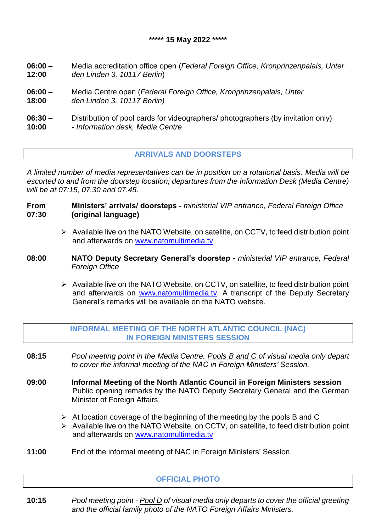- **06:00 –** Media accreditation office open (*Federal Foreign Office, Kronprinzenpalais, Unter* **12:00** *den Linden 3, 10117 Berlin*)
- **06:00 –** Media Centre open (*Federal Foreign Office, Kronprinzenpalais, Unter*  **18:00** *den Linden 3, 10117 Berlin)*
- **06:30** Distribution of pool cards for videographers/ photographers (by invitation only) **10:00 -** *Information desk, Media Centre*

# **ARRIVALS AND DOORSTEPS**

*A limited number of media representatives can be in position on a rotational basis. Media will be escorted to and from the doorstep location; departures from the Information Desk (Media Centre) will be at 07:15, 07.30 and 07.45.* 

- **From Ministers' arrivals/ doorsteps -** *ministerial VIP entrance, Federal Foreign Office* **07:30 (original language)**
	- $\triangleright$  Available live on the NATO Website, on satellite, on CCTV, to feed distribution point and afterwards on [www.natomultimedia.tv](http://www.natomultimedia.tv/)
- **08:00 NATO Deputy Secretary General's doorstep -** *ministerial VIP entrance, Federal Foreign Office*
	- $\triangleright$  Available live on the NATO Website, on CCTV, on satellite, to feed distribution point and afterwards on [www.natomultimedia.tv.](http://www.natomultimedia.tv/) A transcript of the Deputy Secretary General's remarks will be available on the NATO website.
	- **INFORMAL MEETING OF THE NORTH ATLANTIC COUNCIL (NAC) IN FOREIGN MINISTERS SESSION**
- **08:15** *Pool meeting point in the Media Centre. Pools B and C of visual media only depart to cover the informal meeting of the NAC in Foreign Ministers' Session.*
- **09:00 Informal Meeting of the North Atlantic Council in Foreign Ministers session**  Public opening remarks by the NATO Deputy Secretary General and the German Minister of Foreign Affairs
	- $\triangleright$  At location coverage of the beginning of the meeting by the pools B and C
	- Available live on the NATO Website, on CCTV, on satellite, to feed distribution point and afterwards on [www.natomultimedia.tv](http://www.natomultimedia.tv/)
- **11:00** End of the informal meeting of NAC in Foreign Ministers' Session.

#### **OFFICIAL PHOTO**

**10:15** *Pool meeting point - Pool D of visual media only departs to cover the official greeting and the official family photo of the NATO Foreign Affairs Ministers.*